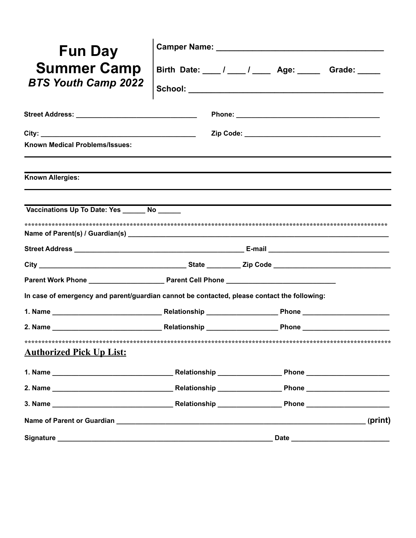| <b>Fun Day</b>                                                                              |                                                       |         |
|---------------------------------------------------------------------------------------------|-------------------------------------------------------|---------|
| <b>Summer Camp</b><br><b>BTS Youth Camp 2022</b>                                            | Birth Date: 1 ___ / ___ / ____ Age: _____ Grade: ____ |         |
|                                                                                             |                                                       |         |
| Known Medical Problems/Issues:                                                              |                                                       |         |
| Known Allergies:                                                                            |                                                       |         |
| Vaccinations Up To Date: Yes No                                                             |                                                       |         |
|                                                                                             |                                                       |         |
|                                                                                             |                                                       |         |
|                                                                                             |                                                       |         |
|                                                                                             |                                                       |         |
| In case of emergency and parent/guardian cannot be contacted, please contact the following: |                                                       |         |
|                                                                                             |                                                       |         |
|                                                                                             |                                                       |         |
| <b>Authorized Pick Up List:</b>                                                             |                                                       |         |
|                                                                                             |                                                       |         |
|                                                                                             |                                                       |         |
|                                                                                             |                                                       |         |
|                                                                                             |                                                       | (print) |
|                                                                                             |                                                       |         |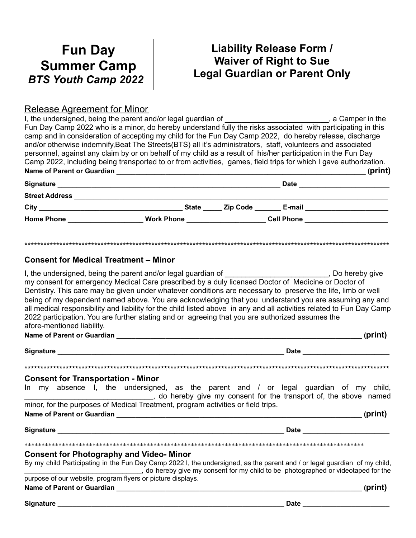## **Fun Day Summer Camp** *BTS Youth Camp 2022*

## **Liability Release Form / Waiver of Right to Sue Legal Guardian or Parent Only**

### Release Agreement for Minor

I, the undersigned, being the parent and/or legal guardian of \_\_\_\_\_\_\_\_\_\_\_\_\_\_\_\_\_\_\_\_\_\_\_\_, a Camper in the Fun Day Camp 2022 who is a minor, do hereby understand fully the risks associated with participating in this camp and in consideration of accepting my child for the Fun Day Camp 2022, do hereby release, discharge and/or otherwise indemnify,Beat The Streets(BTS) all it's administrators, staff, volunteers and associated personnel, against any claim by or on behalf of my child as a result of his/her participation in the Fun Day Camp 2022, including being transported to or from activities, games, field trips for which I gave authorization. **Name of Parent or Guardian \_\_\_\_\_\_\_\_\_\_\_\_\_\_\_\_\_\_\_\_\_\_\_\_\_\_\_\_\_\_\_\_\_\_\_\_\_\_\_\_\_\_\_\_\_\_\_\_\_\_\_\_\_\_\_\_\_\_\_\_\_\_\_\_\_\_ (print)**

| Signature             |                   |          | <b>Date</b>       |  |
|-----------------------|-------------------|----------|-------------------|--|
| <b>Street Address</b> |                   |          |                   |  |
| City                  | <b>State</b>      | Zip Code | E-mail            |  |
| <b>Home Phone</b>     | <b>Work Phone</b> |          | <b>Cell Phone</b> |  |

\*\*\*\*\*\*\*\*\*\*\*\*\*\*\*\*\*\*\*\*\*\*\*\*\*\*\*\*\*\*\*\*\*\*\*\*\*\*\*\*\*\*\*\*\*\*\*\*\*\*\*\*\*\*\*\*\*\*\*\*\*\*\*\*\*\*\*\*\*\*\*\*\*\*\*\*\*\*\*\*\*\*\*\*\*\*\*\*\*\*\*\*\*\*\*\*\*\*\*\*\*\*\*\*\*\*\*\*\*\*\*\*\*\*\*

#### **Consent for Medical Treatment – Minor**

| I, the undersigned, being the parent and/or legal guardian of _____________________________, Do hereby give my consent for emergency Medical Care prescribed by a duly licensed Doctor of Medicine or Doctor of                |                                                                                                                                                                                                                                    |  |  |  |  |
|--------------------------------------------------------------------------------------------------------------------------------------------------------------------------------------------------------------------------------|------------------------------------------------------------------------------------------------------------------------------------------------------------------------------------------------------------------------------------|--|--|--|--|
| Dentistry. This care may be given under whatever conditions are necessary to preserve the life, limb or well                                                                                                                   |                                                                                                                                                                                                                                    |  |  |  |  |
|                                                                                                                                                                                                                                |                                                                                                                                                                                                                                    |  |  |  |  |
| being of my dependent named above. You are acknowledging that you understand you are assuming any and<br>all medical responsibility and liability for the child listed above in any and all activities related to Fun Day Camp |                                                                                                                                                                                                                                    |  |  |  |  |
| 2022 participation. You are further stating and or agreeing that you are authorized assumes the                                                                                                                                |                                                                                                                                                                                                                                    |  |  |  |  |
| afore-mentioned liability.                                                                                                                                                                                                     |                                                                                                                                                                                                                                    |  |  |  |  |
|                                                                                                                                                                                                                                |                                                                                                                                                                                                                                    |  |  |  |  |
|                                                                                                                                                                                                                                |                                                                                                                                                                                                                                    |  |  |  |  |
|                                                                                                                                                                                                                                |                                                                                                                                                                                                                                    |  |  |  |  |
|                                                                                                                                                                                                                                |                                                                                                                                                                                                                                    |  |  |  |  |
| <b>Consent for Transportation - Minor</b>                                                                                                                                                                                      |                                                                                                                                                                                                                                    |  |  |  |  |
| In my absence I, the undersigned, as the parent and / or legal guardian of my child,                                                                                                                                           |                                                                                                                                                                                                                                    |  |  |  |  |
|                                                                                                                                                                                                                                |                                                                                                                                                                                                                                    |  |  |  |  |
| minor, for the purposes of Medical Treatment, program activities or field trips.                                                                                                                                               |                                                                                                                                                                                                                                    |  |  |  |  |
|                                                                                                                                                                                                                                | (print)                                                                                                                                                                                                                            |  |  |  |  |
|                                                                                                                                                                                                                                | Date <b>Date Contract Contract Contract Contract Contract Contract Contract Contract Contract Contract Contract Contract Contract Contract Contract Contract Contract Contract Contract Contract Contract Contract Contract Co</b> |  |  |  |  |
|                                                                                                                                                                                                                                |                                                                                                                                                                                                                                    |  |  |  |  |
|                                                                                                                                                                                                                                |                                                                                                                                                                                                                                    |  |  |  |  |
| <b>Consent for Photography and Video- Minor</b>                                                                                                                                                                                |                                                                                                                                                                                                                                    |  |  |  |  |
| By my child Participating in the Fun Day Camp 2022 I, the undersigned, as the parent and / or legal guardian of my child,                                                                                                      |                                                                                                                                                                                                                                    |  |  |  |  |
| do hereby give my consent for my child to be photographed or videotaped for the                                                                                                                                                |                                                                                                                                                                                                                                    |  |  |  |  |
| purpose of our website, program flyers or picture displays.                                                                                                                                                                    |                                                                                                                                                                                                                                    |  |  |  |  |
|                                                                                                                                                                                                                                | (print)                                                                                                                                                                                                                            |  |  |  |  |
| <b>Signature</b>                                                                                                                                                                                                               | <b>Date</b>                                                                                                                                                                                                                        |  |  |  |  |